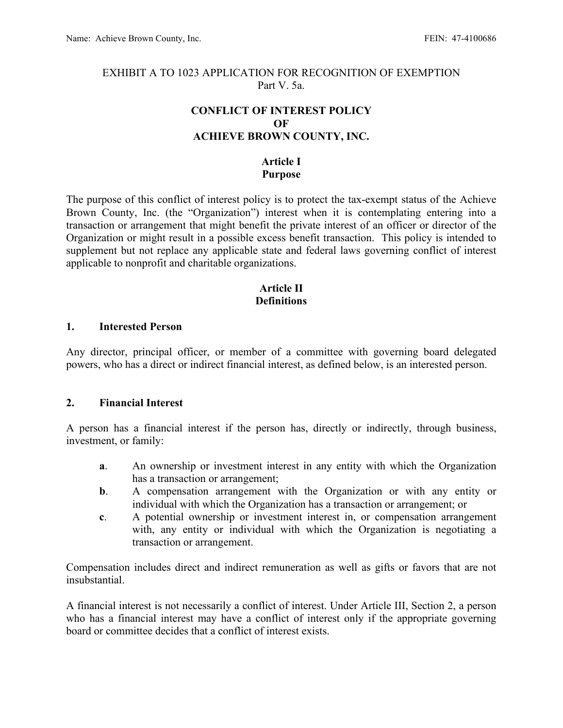### EXHIBIT A TO 1023 APPLICATION FOR RECOGNITION OF EXEMPTION Part V. 5a.

## **CONFLICT OF INTEREST POLICY OF ACHIEVE BROWN COUNTY, INC.**

## **Article I Purpose**

The purpose of this conflict of interest policy is to protect the tax-exempt status of the Achieve Brown County, Inc. (the "Organization") interest when it is contemplating entering into a transaction or arrangement that might benefit the private interest of an officer or director of the Organization or might result in a possible excess benefit transaction. This policy is intended to supplement but not replace any applicable state and federal laws governing conflict of interest applicable to nonprofit and charitable organizations.

## **Article II Definitions**

### **1. Interested Person**

Any director, principal officer, or member of a committee with governing board delegated powers, who has a direct or indirect financial interest, as defined below, is an interested person.

### **2. Financial Interest**

A person has a financial interest if the person has, directly or indirectly, through business, investment, or family:

- **a**. An ownership or investment interest in any entity with which the Organization has a transaction or arrangement;
- **b**. A compensation arrangement with the Organization or with any entity or individual with which the Organization has a transaction or arrangement; or
- **c**. A potential ownership or investment interest in, or compensation arrangement with, any entity or individual with which the Organization is negotiating a transaction or arrangement.

Compensation includes direct and indirect remuneration as well as gifts or favors that are not insubstantial.

A financial interest is not necessarily a conflict of interest. Under Article III, Section 2, a person who has a financial interest may have a conflict of interest only if the appropriate governing board or committee decides that a conflict of interest exists.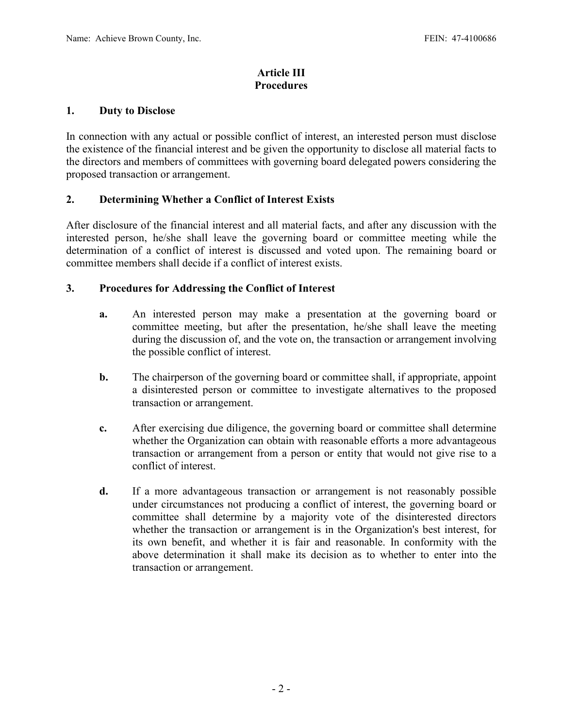## **Article III Procedures**

## **1. Duty to Disclose**

In connection with any actual or possible conflict of interest, an interested person must disclose the existence of the financial interest and be given the opportunity to disclose all material facts to the directors and members of committees with governing board delegated powers considering the proposed transaction or arrangement.

# **2. Determining Whether a Conflict of Interest Exists**

After disclosure of the financial interest and all material facts, and after any discussion with the interested person, he/she shall leave the governing board or committee meeting while the determination of a conflict of interest is discussed and voted upon. The remaining board or committee members shall decide if a conflict of interest exists.

# **3. Procedures for Addressing the Conflict of Interest**

- **a.** An interested person may make a presentation at the governing board or committee meeting, but after the presentation, he/she shall leave the meeting during the discussion of, and the vote on, the transaction or arrangement involving the possible conflict of interest.
- **b.** The chairperson of the governing board or committee shall, if appropriate, appoint a disinterested person or committee to investigate alternatives to the proposed transaction or arrangement.
- **c.** After exercising due diligence, the governing board or committee shall determine whether the Organization can obtain with reasonable efforts a more advantageous transaction or arrangement from a person or entity that would not give rise to a conflict of interest.
- **d.** If a more advantageous transaction or arrangement is not reasonably possible under circumstances not producing a conflict of interest, the governing board or committee shall determine by a majority vote of the disinterested directors whether the transaction or arrangement is in the Organization's best interest, for its own benefit, and whether it is fair and reasonable. In conformity with the above determination it shall make its decision as to whether to enter into the transaction or arrangement.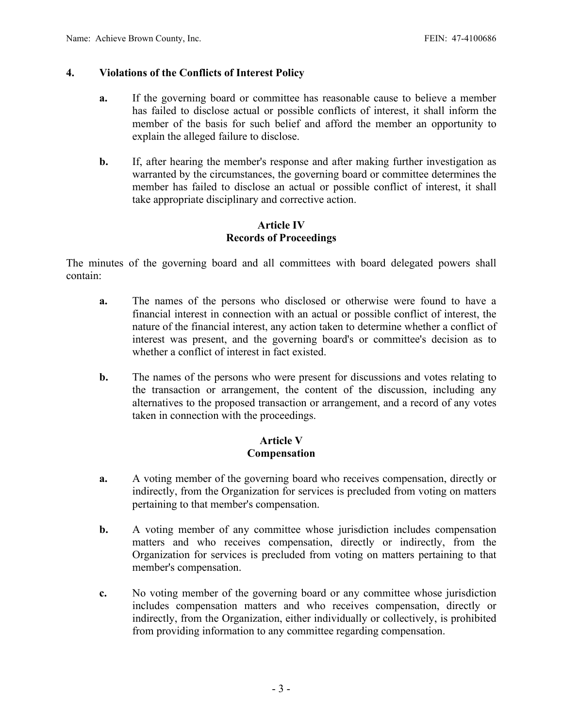### **4. Violations of the Conflicts of Interest Policy**

- **a.** If the governing board or committee has reasonable cause to believe a member has failed to disclose actual or possible conflicts of interest, it shall inform the member of the basis for such belief and afford the member an opportunity to explain the alleged failure to disclose.
- **b.** If, after hearing the member's response and after making further investigation as warranted by the circumstances, the governing board or committee determines the member has failed to disclose an actual or possible conflict of interest, it shall take appropriate disciplinary and corrective action.

### **Article IV Records of Proceedings**

The minutes of the governing board and all committees with board delegated powers shall contain:

- **a.** The names of the persons who disclosed or otherwise were found to have a financial interest in connection with an actual or possible conflict of interest, the nature of the financial interest, any action taken to determine whether a conflict of interest was present, and the governing board's or committee's decision as to whether a conflict of interest in fact existed.
- **b.** The names of the persons who were present for discussions and votes relating to the transaction or arrangement, the content of the discussion, including any alternatives to the proposed transaction or arrangement, and a record of any votes taken in connection with the proceedings.

## **Article V Compensation**

- **a.** A voting member of the governing board who receives compensation, directly or indirectly, from the Organization for services is precluded from voting on matters pertaining to that member's compensation.
- **b.** A voting member of any committee whose jurisdiction includes compensation matters and who receives compensation, directly or indirectly, from the Organization for services is precluded from voting on matters pertaining to that member's compensation.
- **c.** No voting member of the governing board or any committee whose jurisdiction includes compensation matters and who receives compensation, directly or indirectly, from the Organization, either individually or collectively, is prohibited from providing information to any committee regarding compensation.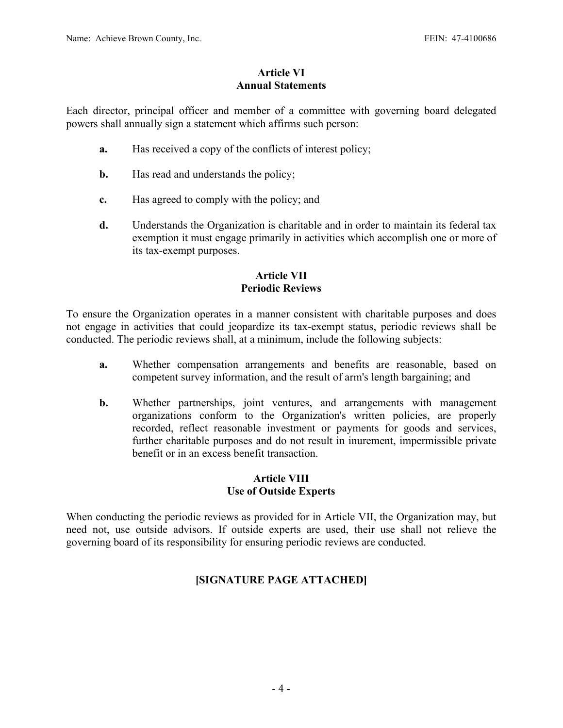### **Article VI Annual Statements**

Each director, principal officer and member of a committee with governing board delegated powers shall annually sign a statement which affirms such person:

- **a.** Has received a copy of the conflicts of interest policy;
- **b.** Has read and understands the policy;
- **c.** Has agreed to comply with the policy; and
- **d.** Understands the Organization is charitable and in order to maintain its federal tax exemption it must engage primarily in activities which accomplish one or more of its tax-exempt purposes.

## **Article VII Periodic Reviews**

To ensure the Organization operates in a manner consistent with charitable purposes and does not engage in activities that could jeopardize its tax-exempt status, periodic reviews shall be conducted. The periodic reviews shall, at a minimum, include the following subjects:

- **a.** Whether compensation arrangements and benefits are reasonable, based on competent survey information, and the result of arm's length bargaining; and
- **b.** Whether partnerships, joint ventures, and arrangements with management organizations conform to the Organization's written policies, are properly recorded, reflect reasonable investment or payments for goods and services, further charitable purposes and do not result in inurement, impermissible private benefit or in an excess benefit transaction.

### **Article VIII Use of Outside Experts**

When conducting the periodic reviews as provided for in Article VII, the Organization may, but need not, use outside advisors. If outside experts are used, their use shall not relieve the governing board of its responsibility for ensuring periodic reviews are conducted.

## **[SIGNATURE PAGE ATTACHED]**